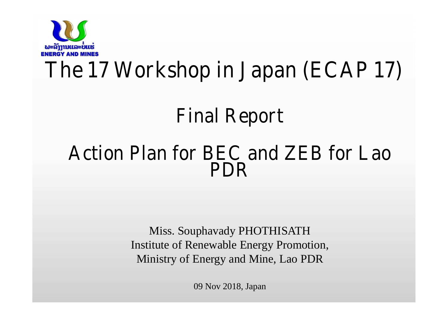

# **The 17 Workshop in Japan (ECAP 17)**

## **Final Report**

### **Action Plan for BEC and ZEB for Lao PDR**

Miss. Souphavady PHOTHISATH Institute of Renewable Energy Promotion, Ministry of Energy and Mine, Lao PDR

09 Nov 2018, Japan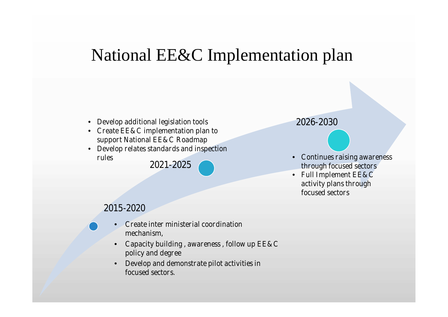### National EE&C Implementation plan

#### • **Develop additional legislation tools**

- **Create EE&C implementation plan to support National EE&C Roadmap**
- **Develop relates standards and inspection rules**

**2021-2025**

#### **2026-2030**

- **Continues raising awareness through focused sectors**
- **Full Implement EE&C activity plans through focused sectors**

#### **2015-2020**

- **Create inter ministerial coordination mechanism,**
- **Capacity building , awareness , follow up EE&C policy and degree**
- **Develop and demonstrate pilot activities in focused sectors.**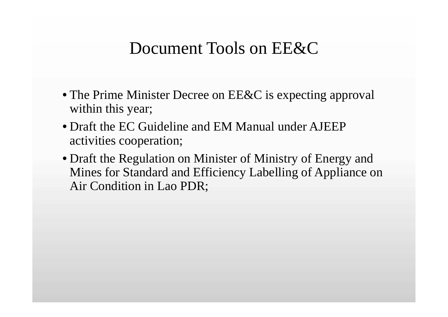### Document Tools on EE&C

- The Prime Minister Decree on EE&C is expecting approval within this year;
- Draft the EC Guideline and EM Manual under AJEEP activities cooperation;
- Draft the Regulation on Minister of Ministry of Energy and Mines for Standard and Efficiency Labelling of Appliance on Air Condition in Lao PDR;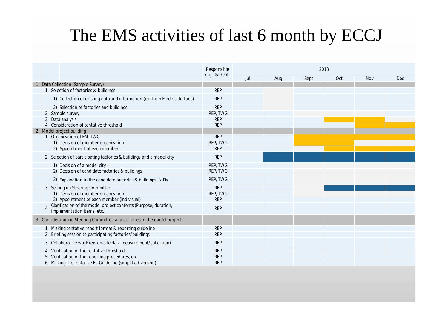### The EMS activities of last 6 month by ECCJ

|                                 |                |                                                                                                | Responsible     | 2018 |     |      |     |            |     |  |  |  |  |  |  |
|---------------------------------|----------------|------------------------------------------------------------------------------------------------|-----------------|------|-----|------|-----|------------|-----|--|--|--|--|--|--|
|                                 |                |                                                                                                | org. & dept.    | Jul  | Aug | Sept | Oct | <b>Nov</b> | Dec |  |  |  |  |  |  |
| Data Collection (Sample Survey) |                |                                                                                                |                 |      |     |      |     |            |     |  |  |  |  |  |  |
|                                 |                | Selection of factories & buildings                                                             | <b>IREP</b>     |      |     |      |     |            |     |  |  |  |  |  |  |
|                                 |                | 1) Collection of existing data and information (ex. from Electric du Laos)                     | <b>IREP</b>     |      |     |      |     |            |     |  |  |  |  |  |  |
|                                 |                | 2) Selection of factories and buildings                                                        | <b>IREP</b>     |      |     |      |     |            |     |  |  |  |  |  |  |
|                                 |                | 2 Sample survey                                                                                | <b>IREP/TWG</b> |      |     |      |     |            |     |  |  |  |  |  |  |
|                                 |                | Data analysis                                                                                  | <b>IREP</b>     |      |     |      |     |            |     |  |  |  |  |  |  |
|                                 |                | 4 Consideration of tentative threshold                                                         | <b>IREP</b>     |      |     |      |     |            |     |  |  |  |  |  |  |
|                                 |                | 2 Model project building                                                                       |                 |      |     |      |     |            |     |  |  |  |  |  |  |
|                                 |                | Organization of EM-TWG                                                                         | <b>IREP</b>     |      |     |      |     |            |     |  |  |  |  |  |  |
|                                 |                | 1) Decision of member organization                                                             | <b>IREP/TWG</b> |      |     |      |     |            |     |  |  |  |  |  |  |
|                                 |                | 2) Appointment of each member                                                                  | <b>IREP</b>     |      |     |      |     |            |     |  |  |  |  |  |  |
|                                 |                | 2 Selection of participating factories & buildings and a model city                            | <b>IREP</b>     |      |     |      |     |            |     |  |  |  |  |  |  |
|                                 |                | 1) Decision of a model city                                                                    | <b>IREP/TWG</b> |      |     |      |     |            |     |  |  |  |  |  |  |
|                                 |                | 2) Decision of candidate factories & buildings                                                 | IREP/TWG        |      |     |      |     |            |     |  |  |  |  |  |  |
|                                 |                | 3) Explanation to the candidate factories & buildings $\rightarrow$ Fix                        | IREP/TWG        |      |     |      |     |            |     |  |  |  |  |  |  |
|                                 |                | 3 Setting up Steering Committee                                                                | <b>IREP</b>     |      |     |      |     |            |     |  |  |  |  |  |  |
|                                 |                | 1) Decision of member organization                                                             | <b>IREP/TWG</b> |      |     |      |     |            |     |  |  |  |  |  |  |
|                                 |                | 2) Appointment of each member (indivisual)                                                     | <b>IREP</b>     |      |     |      |     |            |     |  |  |  |  |  |  |
|                                 | $\overline{4}$ | Clarification of the model project contents (Purpose, duration,<br>implementation items, etc.) | <b>IREP</b>     |      |     |      |     |            |     |  |  |  |  |  |  |
|                                 |                | 3 Consideration in Steering Committee and activities in the model project                      |                 |      |     |      |     |            |     |  |  |  |  |  |  |
|                                 |                | Making tentative report format & reporting guideline                                           | <b>IREP</b>     |      |     |      |     |            |     |  |  |  |  |  |  |
|                                 |                | Briefing session to participating factories/buildings                                          | <b>IREP</b>     |      |     |      |     |            |     |  |  |  |  |  |  |
|                                 |                | 3 Collaborative work (ex. on-site data measurement/collection)                                 | <b>IREP</b>     |      |     |      |     |            |     |  |  |  |  |  |  |
|                                 |                | Verification of the tentative threshold                                                        | <b>IREP</b>     |      |     |      |     |            |     |  |  |  |  |  |  |
|                                 |                | Verification of the reporting procedures, etc.                                                 | <b>IREP</b>     |      |     |      |     |            |     |  |  |  |  |  |  |
|                                 |                | 6 Making the tentative EC Guideline (simplified version)                                       | <b>IREP</b>     |      |     |      |     |            |     |  |  |  |  |  |  |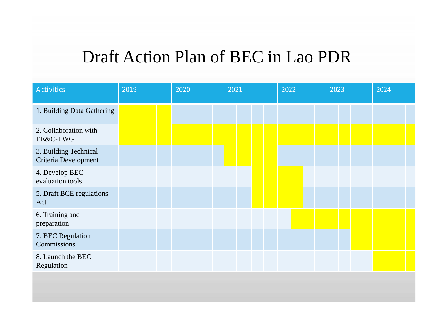### Draft Action Plan of BEC in Lao PDR

| <b>Activities</b>                             | 2019 |  | 2020 |  |  | 2021 |  |  | 2022 |  |  |  | 2023 |  |  | 2024 |  |  |  |  |  |  |  |
|-----------------------------------------------|------|--|------|--|--|------|--|--|------|--|--|--|------|--|--|------|--|--|--|--|--|--|--|
| 1. Building Data Gathering                    |      |  |      |  |  |      |  |  |      |  |  |  |      |  |  |      |  |  |  |  |  |  |  |
| 2. Collaboration with<br>EE&C-TWG             |      |  |      |  |  |      |  |  |      |  |  |  |      |  |  |      |  |  |  |  |  |  |  |
| 3. Building Technical<br>Criteria Development |      |  |      |  |  |      |  |  |      |  |  |  |      |  |  |      |  |  |  |  |  |  |  |
| 4. Develop BEC<br>evaluation tools            |      |  |      |  |  |      |  |  |      |  |  |  |      |  |  |      |  |  |  |  |  |  |  |
| 5. Draft BCE regulations<br>Act               |      |  |      |  |  |      |  |  |      |  |  |  |      |  |  |      |  |  |  |  |  |  |  |
| 6. Training and<br>preparation                |      |  |      |  |  |      |  |  |      |  |  |  |      |  |  |      |  |  |  |  |  |  |  |
| 7. BEC Regulation<br>Commissions              |      |  |      |  |  |      |  |  |      |  |  |  |      |  |  |      |  |  |  |  |  |  |  |
| 8. Launch the BEC<br>Regulation               |      |  |      |  |  |      |  |  |      |  |  |  |      |  |  |      |  |  |  |  |  |  |  |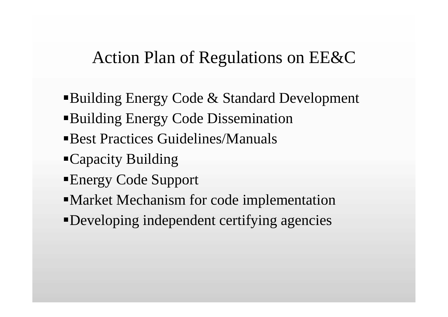### Action Plan of Regulations on EE&C

- Building Energy Code & Standard Development Building Energy Code Dissemination Best Practices Guidelines/Manuals Capacity Building Energy Code Support Market Mechanism for code implementation
- Developing independent certifying agencies